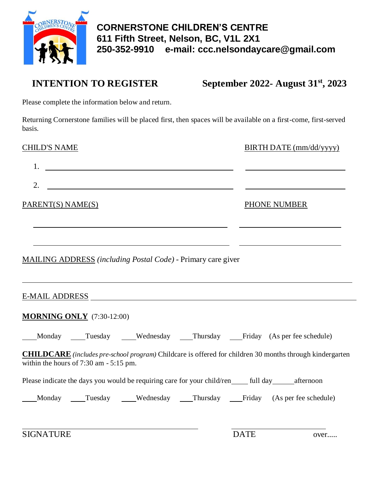

**INTENTION TO REGISTER September 2022- August 31st, 2023**

Please complete the information below and return.

Returning Cornerstone families will be placed first, then spaces will be available on a first-come, first-served basis.

| <b>CHILD'S NAME</b>                       |  |                                                                                                           |  | BIRTH DATE (mm/dd/yyyy) |                                                                                                                 |  |
|-------------------------------------------|--|-----------------------------------------------------------------------------------------------------------|--|-------------------------|-----------------------------------------------------------------------------------------------------------------|--|
| 1.                                        |  | <u> 1989 - Johann Barbara, martin amerikan basar da</u>                                                   |  |                         |                                                                                                                 |  |
| 2.                                        |  |                                                                                                           |  |                         |                                                                                                                 |  |
| PARENT(S) NAME(S)                         |  |                                                                                                           |  | PHONE NUMBER            |                                                                                                                 |  |
|                                           |  | MAILING ADDRESS (including Postal Code) - Primary care giver                                              |  |                         |                                                                                                                 |  |
|                                           |  |                                                                                                           |  |                         |                                                                                                                 |  |
| <b>MORNING ONLY</b> (7:30-12:00)          |  |                                                                                                           |  |                         |                                                                                                                 |  |
|                                           |  |                                                                                                           |  |                         | ___Monday ____Tuesday ____Wednesday ___Thursday ___Friday (As per fee schedule)                                 |  |
| within the hours of $7:30$ am $-5:15$ pm. |  |                                                                                                           |  |                         | <b>CHILDCARE</b> (includes pre-school program) Childcare is offered for children 30 months through kindergarten |  |
|                                           |  | Please indicate the days you would be requiring care for your child/ren_______ full day________ afternoon |  |                         |                                                                                                                 |  |
|                                           |  |                                                                                                           |  |                         | Monday Tuesday Wednesday Thursday Friday (As per fee schedule)                                                  |  |
| <b>SIGNATURE</b>                          |  |                                                                                                           |  | <b>DATE</b>             | over                                                                                                            |  |